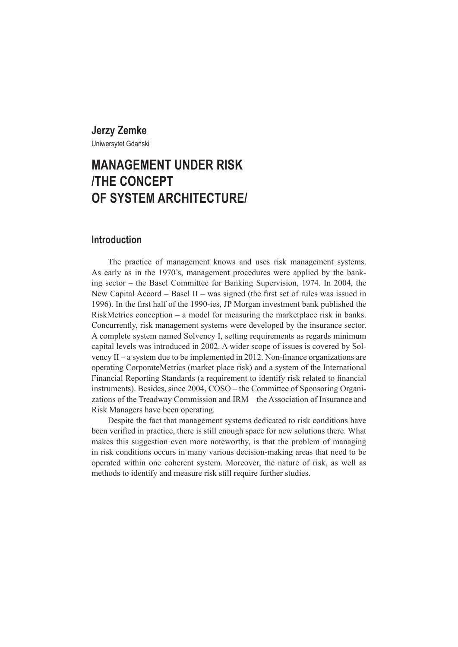# **Jerzy Zemke**

Uniwersytet Gdański

# **MANAGEMENT UNDER RISK /THE CONCEPT OF SYSTEM ARCHITECTURE/**

## **Introduction**

The practice of management knows and uses risk management systems. As early as in the 1970's, management procedures were applied by the banking sector – the Basel Committee for Banking Supervision, 1974. In 2004, the New Capital Accord – Basel II – was signed (the first set of rules was issued in 1996). In the first half of the 1990-ies, JP Morgan investment bank published the RiskMetrics conception – a model for measuring the marketplace risk in banks. Concurrently, risk management systems were developed by the insurance sector. A complete system named Solvency I, setting requirements as regards minimum capital levels was introduced in 2002. A wider scope of issues is covered by Solvency II – a system due to be implemented in 2012. Non-finance organizations are operating CorporateMetrics (market place risk) and a system of the International Financial Reporting Standards (a requirement to identify risk related to financial instruments). Besides, since 2004, COSO – the Committee of Sponsoring Organizations of the Treadway Commission and IRM – the Association of Insurance and Risk Managers have been operating.

Despite the fact that management systems dedicated to risk conditions have been verified in practice, there is still enough space for new solutions there. What makes this suggestion even more noteworthy, is that the problem of managing in risk conditions occurs in many various decision-making areas that need to be operated within one coherent system. Moreover, the nature of risk, as well as methods to identify and measure risk still require further studies.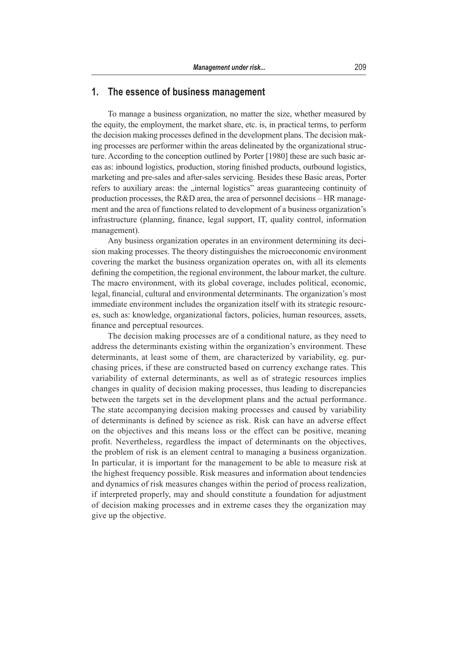# **1. The essence of business management**

To manage a business organization, no matter the size, whether measured by the equity, the employment, the market share, etc. is, in practical terms, to perform the decision making processes defined in the development plans. The decision making processes are performer within the areas delineated by the organizational structure. According to the conception outlined by Porter [1980] these are such basic areas as: inbound logistics, production, storing finished products, outbound logistics, marketing and pre-sales and after-sales servicing. Besides these Basic areas, Porter refers to auxiliary areas: the "internal logistics" areas guaranteeing continuity of production processes, the R&D area, the area of personnel decisions – HR management and the area of functions related to development of a business organization's infrastructure (planning, finance, legal support, IT, quality control, information management).

Any business organization operates in an environment determining its decision making processes. The theory distinguishes the microeconomic environment covering the market the business organization operates on, with all its elements defining the competition, the regional environment, the labour market, the culture. The macro environment, with its global coverage, includes political, economic, legal, financial, cultural and environmental determinants. The organization's most immediate environment includes the organization itself with its strategic resources, such as: knowledge, organizational factors, policies, human resources, assets, finance and perceptual resources.

The decision making processes are of a conditional nature, as they need to address the determinants existing within the organization's environment. These determinants, at least some of them, are characterized by variability, eg. purchasing prices, if these are constructed based on currency exchange rates. This variability of external determinants, as well as of strategic resources implies changes in quality of decision making processes, thus leading to discrepancies between the targets set in the development plans and the actual performance. The state accompanying decision making processes and caused by variability of determinants is defined by science as risk. Risk can have an adverse effect on the objectives and this means loss or the effect can be positive, meaning profit. Nevertheless, regardless the impact of determinants on the objectives, the problem of risk is an element central to managing a business organization. In particular, it is important for the management to be able to measure risk at the highest frequency possible. Risk measures and information about tendencies and dynamics of risk measures changes within the period of process realization, if interpreted properly, may and should constitute a foundation for adjustment of decision making processes and in extreme cases they the organization may give up the objective.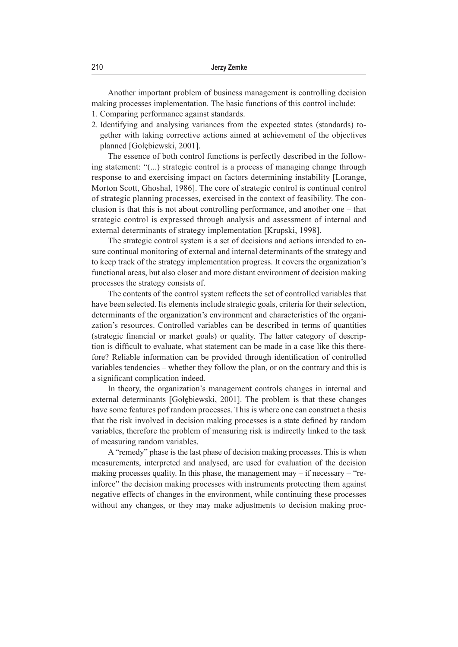Another important problem of business management is controlling decision making processes implementation. The basic functions of this control include:

- 1. Comparing performance against standards.
- 2. Identifying and analysing variances from the expected states (standards) together with taking corrective actions aimed at achievement of the objectives planned [Gołębiewski, 2001].

The essence of both control functions is perfectly described in the following statement: "(...) strategic control is a process of managing change through response to and exercising impact on factors determining instability [Lorange, Morton Scott, Ghoshal, 1986]. The core of strategic control is continual control of strategic planning processes, exercised in the context of feasibility. The conclusion is that this is not about controlling performance, and another one – that strategic control is expressed through analysis and assessment of internal and external determinants of strategy implementation [Krupski, 1998].

The strategic control system is a set of decisions and actions intended to ensure continual monitoring of external and internal determinants of the strategy and to keep track of the strategy implementation progress. It covers the organization's functional areas, but also closer and more distant environment of decision making processes the strategy consists of.

The contents of the control system reflects the set of controlled variables that have been selected. Its elements include strategic goals, criteria for their selection, determinants of the organization's environment and characteristics of the organization's resources. Controlled variables can be described in terms of quantities (strategic financial or market goals) or quality. The latter category of description is difficult to evaluate, what statement can be made in a case like this therefore? Reliable information can be provided through identification of controlled variables tendencies – whether they follow the plan, or on the contrary and this is a significant complication indeed.

In theory, the organization's management controls changes in internal and external determinants [Gołębiewski, 2001]. The problem is that these changes have some features pof random processes. This is where one can construct a thesis that the risk involved in decision making processes is a state defined by random variables, therefore the problem of measuring risk is indirectly linked to the task of measuring random variables.

A "remedy" phase is the last phase of decision making processes. This is when measurements, interpreted and analysed, are used for evaluation of the decision making processes quality. In this phase, the management may  $-$  if necessary  $-$  "reinforce" the decision making processes with instruments protecting them against negative effects of changes in the environment, while continuing these processes without any changes, or they may make adjustments to decision making proc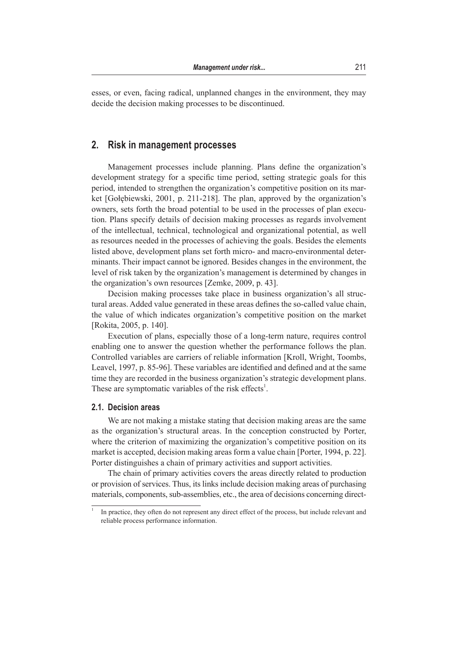esses, or even, facing radical, unplanned changes in the environment, they may decide the decision making processes to be discontinued.

## **2. Risk in management processes**

Management processes include planning. Plans define the organization's development strategy for a specific time period, setting strategic goals for this period, intended to strengthen the organization's competitive position on its market [Gołębiewski, 2001, p. 211-218]. The plan, approved by the organization's owners, sets forth the broad potential to be used in the processes of plan execution. Plans specify details of decision making processes as regards involvement of the intellectual, technical, technological and organizational potential, as well as resources needed in the processes of achieving the goals. Besides the elements listed above, development plans set forth micro- and macro-environmental determinants. Their impact cannot be ignored. Besides changes in the environment, the level of risk taken by the organization's management is determined by changes in the organization's own resources [Zemke, 2009, p. 43].

Decision making processes take place in business organization's all structural areas. Added value generated in these areas defines the so-called value chain, the value of which indicates organization's competitive position on the market [Rokita, 2005, p. 140].

Execution of plans, especially those of a long-term nature, requires control enabling one to answer the question whether the performance follows the plan. Controlled variables are carriers of reliable information [Kroll, Wright, Toombs, Leavel, 1997, p. 85-96]. These variables are identified and defined and at the same time they are recorded in the business organization's strategic development plans. These are symptomatic variables of the risk effects<sup>1</sup>.

#### **2.1. Decision areas**

We are not making a mistake stating that decision making areas are the same as the organization's structural areas. In the conception constructed by Porter, where the criterion of maximizing the organization's competitive position on its market is accepted, decision making areas form a value chain [Porter, 1994, p. 22]. Porter distinguishes a chain of primary activities and support activities.

The chain of primary activities covers the areas directly related to production or provision of services. Thus, its links include decision making areas of purchasing materials, components, sub-assemblies, etc., the area of decisions concerning direct-

In practice, they often do not represent any direct effect of the process, but include relevant and reliable process performance information.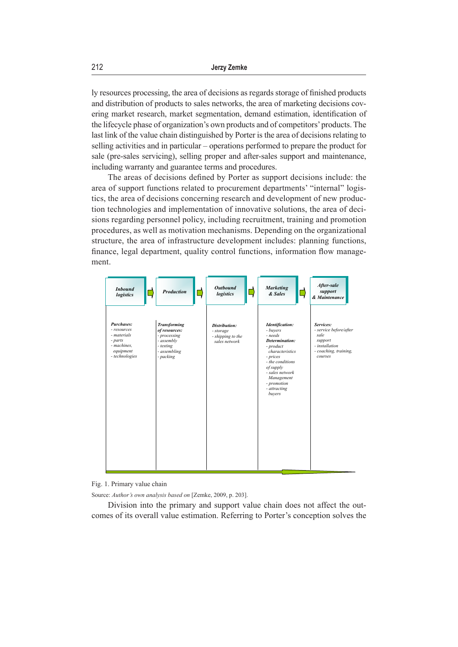ly resources processing, the area of decisions as regards storage of finished products and distribution of products to sales networks, the area of marketing decisions covering market research, market segmentation, demand estimation, identification of the lifecycle phase of organization's own products and of competitors' products. The last link of the value chain distinguished by Porter is the area of decisions relating to selling activities and in particular – operations performed to prepare the product for sale (pre-sales servicing), selling proper and after-sales support and maintenance, including warranty and guarantee terms and procedures.

The areas of decisions defined by Porter as support decisions include: the area of support functions related to procurement departments' "internal" logistics, the area of decisions concerning research and development of new production technologies and implementation of innovative solutions, the area of decisions regarding personnel policy, including recruitment, training and promotion procedures, as well as motivation mechanisms. Depending on the organizational structure, the area of infrastructure development includes: planning functions, finance, legal department, quality control functions, information flow management.



Fig. 1. Primary value chain

Source: *Author's own analysis based on* [Zemke, 2009, p. 203].

Division into the primary and support value chain does not affect the outcomes of its overall value estimation. Referring to Porter's conception solves the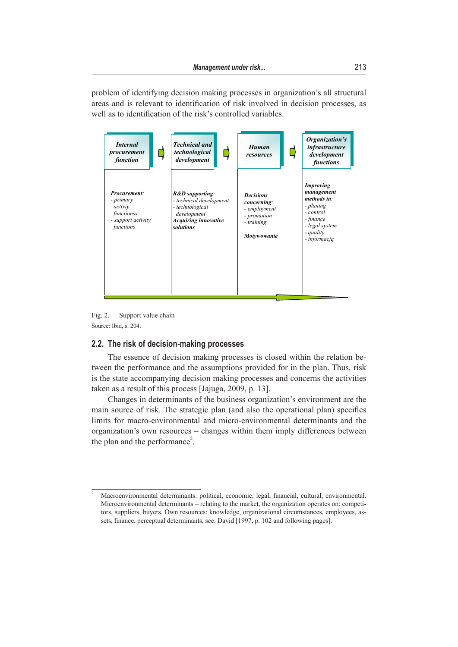problem of identifying decision making processes in organization's all structural areas and is relevant to identification of risk involved in decision processes, as well as to identification of the risk's controlled variables.



Fig. 2. Support value chain Source: Ibid, s. 204.

## **2.2. The risk of decision-making processes**

The essence of decision making processes is closed within the relation between the performance and the assumptions provided for in the plan. Thus, risk is the state accompanying decision making processes and concerns the activities taken as a result of this process [Jajuga, 2009, p. 13].

organization's own resources – changes within them imply differences between Changes in determinants of the business organization's environment are the main source of risk. The strategic plan (and also the operational plan) specifies limits for macro-environmental and micro-environmental determinants and the the plan and the performance<sup>2</sup>.

<sup>&</sup>lt;sup>2</sup> Macroenvironmental determinants: political, economic, legal, financial, cultural, environmental. Microenvironmental determinants – relating to the market, the organization operates on: competitors, suppliers, buyers. Own resources: knowledge, organizational circumstances, employees, assets, finance, perceptual determinants, see: David [1997, p. 102 and following pages].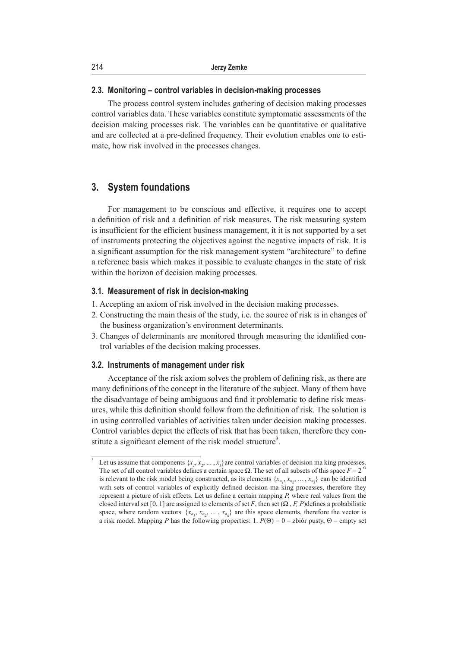#### **2.3. Monitoring – control variables in decision-making processes**

The process control system includes gathering of decision making processes control variables data. These variables constitute symptomatic assessments of the decision making processes risk. The variables can be quantitative or qualitative and are collected at a pre-defined frequency. Their evolution enables one to estimate, how risk involved in the processes changes.

## **3. System foundations**

For management to be conscious and effective, it requires one to accept a definition of risk and a definition of risk measures. The risk measuring system is insufficient for the efficient business management, it it is not supported by a set of instruments protecting the objectives against the negative impacts of risk. It is a significant assumption for the risk management system "architecture" to define a reference basis which makes it possible to evaluate changes in the state of risk within the horizon of decision making processes.

## **3.1. Measurement of risk in decision-making**

- 1. Accepting an axiom of risk involved in the decision making processes.
- 2. Constructing the main thesis of the study, i.e. the source of risk is in changes of the business organization's environment determinants.
- 3. Changes of determinants are monitored through measuring the identified control variables of the decision making processes.

#### **3.2. Instruments of management under risk**

Acceptance of the risk axiom solves the problem of defining risk, as there are many definitions of the concept in the literature of the subject. Many of them have the disadvantage of being ambiguous and find it problematic to define risk measures, while this definition should follow from the definition of risk. The solution is in using controlled variables of activities taken under decision making processes. Control variables depict the effects of risk that has been taken, therefore they constitute a significant element of the risk model structure<sup>3</sup>.

<sup>&</sup>lt;sup>3</sup> Let us assume that components  $\{x_1, x_2, ..., x_k\}$  are control variables of decision ma king processes. The set of all control variables defines a certain space  $\Omega$ . The set of all subsets of this space  $F = 2^{\Omega}$ is relevant to the risk model being constructed, as its elements  $\{x_{\alpha_1}, x_{\alpha_2}, \dots, x_{\alpha_k}\}\)$  can be identified with sets of control variables of explicitly defined decision ma king processes, therefore they represent a picture of risk effects. Let us define a certain mapping *P,* where real values from the closed interval set [0, 1] are assigned to elements of set *F*, then set  $(\Omega, F, P)$  defines a probabilistic space, where random vectors  $\{x_{\alpha_1}, x_{\alpha_2}, \ldots, x_{\alpha_k}\}\$  are this space elements, therefore the vector is a risk model. Mapping *P* has the following properties: 1. *P*(Θ) = 0 – zbiór pusty, Θ – empty set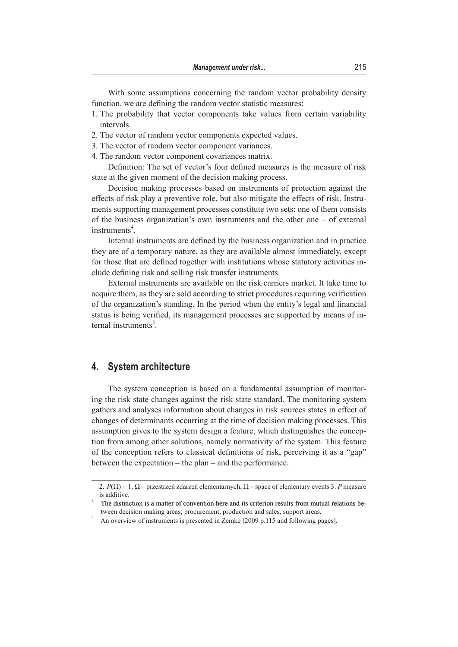With some assumptions concerning the random vector probability density function, we are defining the random vector statistic measures:

- 1. The probability that vector components take values from certain variability intervals.
- 2. The vector of random vector components expected values.
- 3. The vector of random vector component variances.
- 4. The random vector component covariances matrix.

Definition: The set of vector's four defined measures is the measure of risk state at the given moment of the decision making process.

Decision making processes based on instruments of protection against the effects of risk play a preventive role, but also mitigate the effects of risk. Instruments supporting management processes constitute two sets: one of them consists of the business organization's own instruments and the other one – of external instruments<sup>4</sup>.

Internal instruments are defined by the business organization and in practice they are of a temporary nature, as they are available almost immediately, except for those that are defined together with institutions whose statutory activities include defining risk and selling risk transfer instruments.

External instruments are available on the risk carriers market. It take time to acquire them, as they are sold according to strict procedures requiring verification of the organization's standing. In the period when the entity's legal and financial status is being verified, its management processes are supported by means of internal instruments<sup>5</sup>.

## **4. System architecture**

The system conception is based on a fundamental assumption of monitoring the risk state changes against the risk state standard. The monitoring system gathers and analyses information about changes in risk sources states in effect of changes of determinants occurring at the time of decision making processes. This assumption gives to the system design a feature, which distinguishes the conception from among other solutions, namely normativity of the system. This feature of the conception refers to classical definitions of risk, perceiving it as a "gap" between the expectation – the plan – and the performance.

<sup>2.</sup> *P*(Ω) = 1, Ω – przestrzeń zdarzeń elementarnych, Ω – space of elementary events 3. *P* measure is additive*.*

<sup>&</sup>lt;sup>4</sup> The distinction is a matter of convention here and its criterion results from mutual relations between decision making areas; procurement, production and sales, support areas.

<sup>&</sup>lt;sup>5</sup> An overview of instruments is presented in Zemke [2009 p.115 and following pages].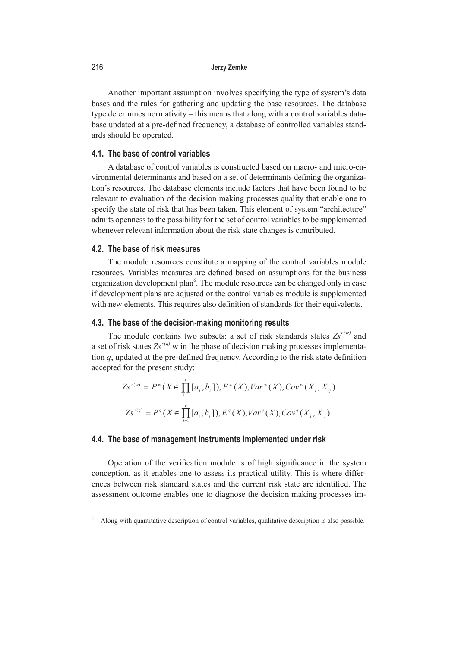Another important assumption involves specifying the type of system's data bases and the rules for gathering and updating the base resources. The database type determines normativity – this means that along with a control variables database updated at a pre-defined frequency, a database of controlled variables standards should be operated.

#### **4.1. The base of control variables**

A database of control variables is constructed based on macro- and micro-environmental determinants and based on a set of determinants defining the organization's resources. The database elements include factors that have been found to be relevant to evaluation of the decision making processes quality that enable one to specify the state of risk that has been taken. This element of system "architecture" admits openness to the possibility for the set of control variables to be supplemented whenever relevant information about the risk state changes is contributed.

#### **4.2. The base of risk measures**

The module resources constitute a mapping of the control variables module resources. Variables measures are defined based on assumptions for the business organization development plan<sup>6</sup>. The module resources can be changed only in case if development plans are adjusted or the control variables module is supplemented with new elements. This requires also definition of standards for their equivalents.

#### **4.3. The base of the decision-making monitoring results**

The module contains two subsets: a set of risk standards states  $Zs^{r(w)}$  and a set of risk states  $Zs^{r(q)}$  w in the phase of decision making processes implementation *q*, updated at the pre-defined frequency. According to the risk state definition accepted for the present study:

$$
Zs^{r(w)} = P^w(X \in \prod_{i=1}^k [a_i, b_i]), E^w(X), Var^w(X), Cov^w(X_i, X_j)
$$
  

$$
Zs^{r(q)} = P^q(X \in \prod_{i=1}^k [a_i, b_i]), E^q(X), Var^q(X), Cov^q(X_i, X_j)
$$

#### **4.4. The base of management instruments implemented under risk**

Operation of the verification module is of high significance in the system conception, as it enables one to assess its practical utility. This is where differences between risk standard states and the current risk state are identified. The assessment outcome enables one to diagnose the decision making processes im-

<sup>6</sup> Along with quantitative description of control variables, qualitative description is also possible.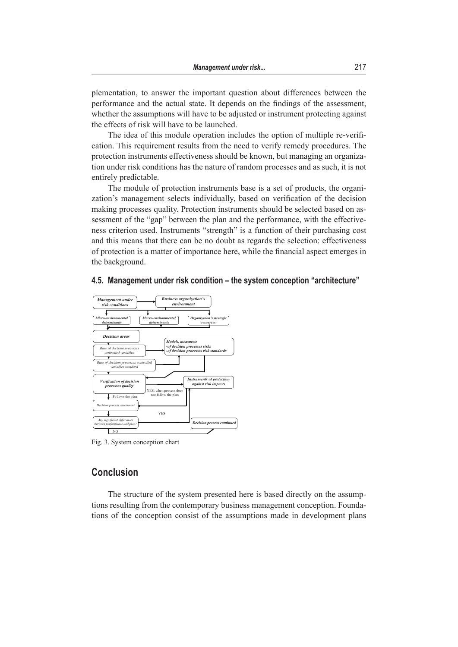plementation, to answer the important question about differences between the performance and the actual state. It depends on the findings of the assessment, whether the assumptions will have to be adjusted or instrument protecting against the effects of risk will have to be launched.

The idea of this module operation includes the option of multiple re-verification. This requirement results from the need to verify remedy procedures. The protection instruments effectiveness should be known, but managing an organization under risk conditions has the nature of random processes and as such, it is not entirely predictable.

The module of protection instruments base is a set of products, the organization's management selects individually, based on verification of the decision making processes quality. Protection instruments should be selected based on assessment of the "gap" between the plan and the performance, with the effectiveness criterion used. Instruments "strength" is a function of their purchasing cost and this means that there can be no doubt as regards the selection: effectiveness of protection is a matter of importance here, while the financial aspect emerges in the background.



## **4.5. Management under risk condition – the system conception "architecture"**

Fig. 3. System conception chart

## **Conclusion**

The structure of the system presented here is based directly on the assumptions resulting from the contemporary business management conception. Foundations of the conception consist of the assumptions made in development plans